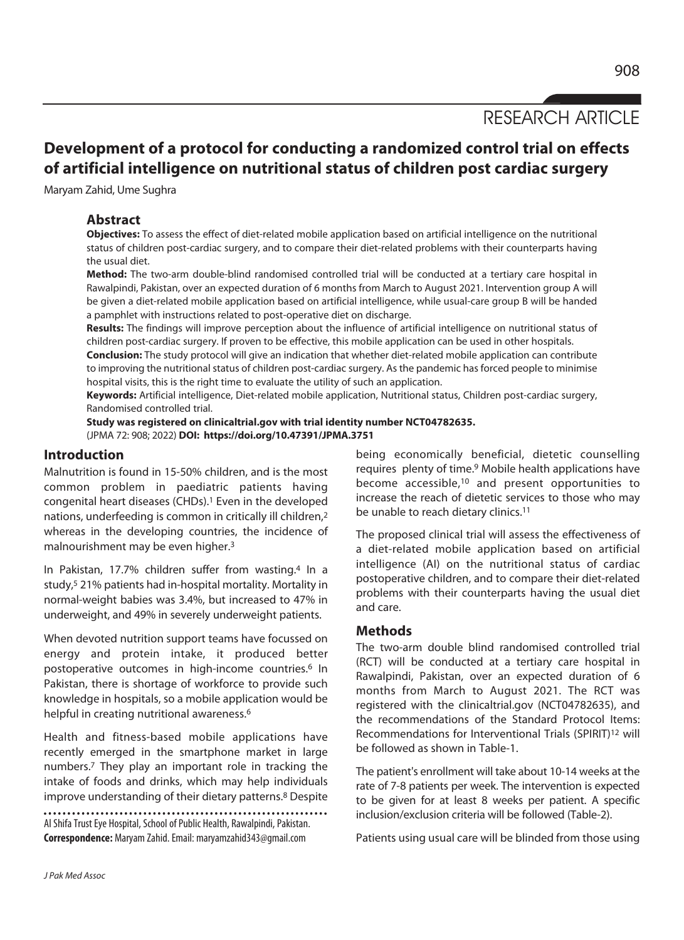RESEARCH ARTICLE

# **Development of a protocol for conducting a randomized control trial on effects of artificial intelligence on nutritional status of children post cardiac surgery**

Maryam Zahid, Ume Sughra

# **Abstract**

**Objectives:** To assess the effect of diet-related mobile application based on artificial intelligence on the nutritional status of children post-cardiac surgery, and to compare their diet-related problems with their counterparts having the usual diet.

**Method:** The two-arm double-blind randomised controlled trial will be conducted at a tertiary care hospital in Rawalpindi, Pakistan, over an expected duration of 6 months from March to August 2021. Intervention group A will be given a diet-related mobile application based on artificial intelligence, while usual-care group B will be handed a pamphlet with instructions related to post-operative diet on discharge.

**Results:** The findings will improve perception about the influence of artificial intelligence on nutritional status of children post-cardiac surgery. If proven to be effective, this mobile application can be used in other hospitals.

**Conclusion:** The study protocol will give an indication that whether diet-related mobile application can contribute to improving the nutritional status of children post-cardiac surgery. As the pandemic has forced people to minimise hospital visits, this is the right time to evaluate the utility of such an application.

**Keywords:** Artificial intelligence, Diet-related mobile application, Nutritional status, Children post-cardiac surgery, Randomised controlled trial.

**Study was registered on clinicaltrial.gov with trial identity number NCT04782635.**  (JPMA 72: 908; 2022) **DOI: https://doi.org/10.47391/JPMA.3751** 

### **Introduction**

Malnutrition is found in 15-50% children, and is the most common problem in paediatric patients having congenital heart diseases (CHDs).1 Even in the developed nations, underfeeding is common in critically ill children,2 whereas in the developing countries, the incidence of malnourishment may be even higher.3

In Pakistan, 17.7% children suffer from wasting.4 In a study,5 21% patients had in-hospital mortality. Mortality in normal-weight babies was 3.4%, but increased to 47% in underweight, and 49% in severely underweight patients.

When devoted nutrition support teams have focussed on energy and protein intake, it produced better postoperative outcomes in high-income countries.<sup>6</sup> In Pakistan, there is shortage of workforce to provide such knowledge in hospitals, so a mobile application would be helpful in creating nutritional awareness.<sup>6</sup>

Health and fitness-based mobile applications have recently emerged in the smartphone market in large numbers.7 They play an important role in tracking the intake of foods and drinks, which may help individuals improve understanding of their dietary patterns.<sup>8</sup> Despite

Al Shifa Trust Eye Hospital, School of Public Health, Rawalpindi, Pakistan. **Correspondence:** Maryam Zahid. Email: maryamzahid343@gmail.com

being economically beneficial, dietetic counselling requires plenty of time.9 Mobile health applications have become accessible,10 and present opportunities to increase the reach of dietetic services to those who may be unable to reach dietary clinics.<sup>11</sup>

The proposed clinical trial will assess the effectiveness of a diet-related mobile application based on artificial intelligence (AI) on the nutritional status of cardiac postoperative children, and to compare their diet-related problems with their counterparts having the usual diet and care.

### **Methods**

The two-arm double blind randomised controlled trial (RCT) will be conducted at a tertiary care hospital in Rawalpindi, Pakistan, over an expected duration of 6 months from March to August 2021. The RCT was registered with the clinicaltrial.gov (NCT04782635), and the recommendations of the Standard Protocol Items: Recommendations for Interventional Trials (SPIRIT)12 will be followed as shown in Table-1.

The patient's enrollment will take about 10-14 weeks at the rate of 7-8 patients per week. The intervention is expected to be given for at least 8 weeks per patient. A specific inclusion/exclusion criteria will be followed (Table-2).

Patients using usual care will be blinded from those using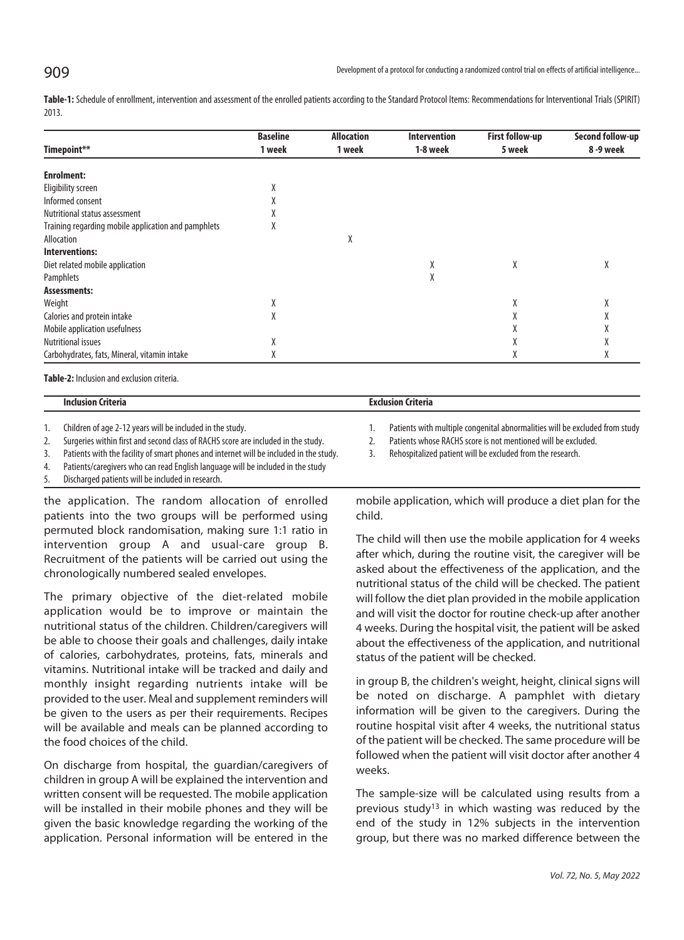**Table-1:** Schedule of enrollment, intervention and assessment of the enrolled patients according to the Standard Protocol Items: Recommendations for Interventional Trials (SPIRIT) 2013.

|                                                     | <b>Baseline</b><br>1 week | <b>Allocation</b><br>1 week | <b>Intervention</b><br>1-8 week | <b>First follow-up</b><br>5 week | Second follow-up<br>8 -9 week |
|-----------------------------------------------------|---------------------------|-----------------------------|---------------------------------|----------------------------------|-------------------------------|
| Timepoint**                                         |                           |                             |                                 |                                  |                               |
| <b>Enrolment:</b>                                   |                           |                             |                                 |                                  |                               |
| Eligibility screen                                  | Λ                         |                             |                                 |                                  |                               |
| Informed consent                                    |                           |                             |                                 |                                  |                               |
| Nutritional status assessment                       |                           |                             |                                 |                                  |                               |
| Training regarding mobile application and pamphlets | Λ                         |                             |                                 |                                  |                               |
| Allocation                                          |                           | Χ                           |                                 |                                  |                               |
| Interventions:                                      |                           |                             |                                 |                                  |                               |
| Diet related mobile application                     |                           |                             | X                               | χ                                | χ                             |
| Pamphlets                                           |                           |                             | Χ                               |                                  |                               |
| Assessments:                                        |                           |                             |                                 |                                  |                               |
| Weight                                              | X                         |                             |                                 | Λ                                | $\mathsf{v}$<br>Λ             |
| Calories and protein intake                         | Λ                         |                             |                                 |                                  |                               |
| Mobile application usefulness                       |                           |                             |                                 |                                  |                               |
| <b>Nutritional issues</b>                           | Λ                         |                             |                                 |                                  |                               |
| Carbohydrates, fats, Mineral, vitamin intake        | Λ                         |                             |                                 |                                  | Λ                             |

**Table-2:** Inclusion and exclusion criteria.

| . | . |
|---|---|
|   |   |

2. Surgeries within first and second class of RACHS score are included in the study. 2. Patients whose RACHS score is not mentioned will be excluded.

3. Patients with the facility of smart phones and internet will be included in the study. 3. Rehospitalized patient will be excluded from the research.

4. Patients/caregivers who can read English language will be included in the study

5. Discharged patients will be included in research.

the application. The random allocation of enrolled patients into the two groups will be performed using permuted block randomisation, making sure 1:1 ratio in intervention group A and usual-care group B. Recruitment of the patients will be carried out using the chronologically numbered sealed envelopes.

The primary objective of the diet-related mobile application would be to improve or maintain the nutritional status of the children. Children/caregivers will be able to choose their goals and challenges, daily intake of calories, carbohydrates, proteins, fats, minerals and vitamins. Nutritional intake will be tracked and daily and monthly insight regarding nutrients intake will be provided to the user. Meal and supplement reminders will be given to the users as per their requirements. Recipes will be available and meals can be planned according to the food choices of the child.

On discharge from hospital, the guardian/caregivers of children in group A will be explained the intervention and written consent will be requested. The mobile application will be installed in their mobile phones and they will be given the basic knowledge regarding the working of the application. Personal information will be entered in the

1. Children of age 2-12 years will be included in the study. 1. Patients with multiple congenital abnormalities will be excluded from study

mobile application, which will produce a diet plan for the child.

The child will then use the mobile application for 4 weeks after which, during the routine visit, the caregiver will be asked about the effectiveness of the application, and the nutritional status of the child will be checked. The patient will follow the diet plan provided in the mobile application and will visit the doctor for routine check-up after another 4 weeks. During the hospital visit, the patient will be asked about the effectiveness of the application, and nutritional status of the patient will be checked.

in group B, the children's weight, height, clinical signs will be noted on discharge. A pamphlet with dietary information will be given to the caregivers. During the routine hospital visit after 4 weeks, the nutritional status of the patient will be checked. The same procedure will be followed when the patient will visit doctor after another 4 weeks.

The sample-size will be calculated using results from a previous study13 in which wasting was reduced by the end of the study in 12% subjects in the intervention group, but there was no marked difference between the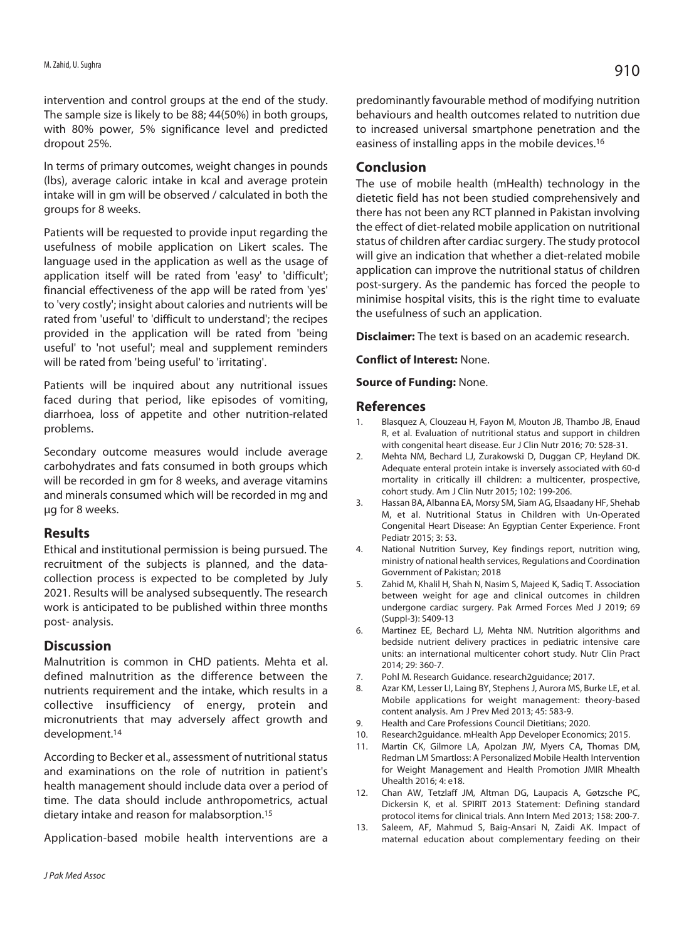intervention and control groups at the end of the study. The sample size is likely to be 88; 44(50%) in both groups, with 80% power, 5% significance level and predicted dropout 25%.

In terms of primary outcomes, weight changes in pounds (lbs), average caloric intake in kcal and average protein intake will in gm will be observed / calculated in both the groups for 8 weeks.

Patients will be requested to provide input regarding the usefulness of mobile application on Likert scales. The language used in the application as well as the usage of application itself will be rated from 'easy' to 'difficult'; financial effectiveness of the app will be rated from 'yes' to 'very costly'; insight about calories and nutrients will be rated from 'useful' to 'difficult to understand'; the recipes provided in the application will be rated from 'being useful' to 'not useful'; meal and supplement reminders will be rated from 'being useful' to 'irritating'.

Patients will be inquired about any nutritional issues faced during that period, like episodes of vomiting, diarrhoea, loss of appetite and other nutrition-related problems.

Secondary outcome measures would include average carbohydrates and fats consumed in both groups which will be recorded in gm for 8 weeks, and average vitamins and minerals consumed which will be recorded in mg and μg for 8 weeks.

### **Results**

Ethical and institutional permission is being pursued. The recruitment of the subjects is planned, and the datacollection process is expected to be completed by July 2021. Results will be analysed subsequently. The research work is anticipated to be published within three months post- analysis.

### **Discussion**

Malnutrition is common in CHD patients. Mehta et al. defined malnutrition as the difference between the nutrients requirement and the intake, which results in a collective insufficiency of energy, protein and micronutrients that may adversely affect growth and development.14

According to Becker et al., assessment of nutritional status and examinations on the role of nutrition in patient's health management should include data over a period of time. The data should include anthropometrics, actual dietary intake and reason for malabsorption.15

Application-based mobile health interventions are a

predominantly favourable method of modifying nutrition behaviours and health outcomes related to nutrition due to increased universal smartphone penetration and the easiness of installing apps in the mobile devices.16

# **Conclusion**

The use of mobile health (mHealth) technology in the dietetic field has not been studied comprehensively and there has not been any RCT planned in Pakistan involving the effect of diet-related mobile application on nutritional status of children after cardiac surgery. The study protocol will give an indication that whether a diet-related mobile application can improve the nutritional status of children post-surgery. As the pandemic has forced the people to minimise hospital visits, this is the right time to evaluate the usefulness of such an application.

**Disclaimer:** The text is based on an academic research.

**Conflict of Interest:** None.

**Source of Funding:** None.

### **References**

- 1. Blasquez A, Clouzeau H, Fayon M, Mouton JB, Thambo JB, Enaud R, et al. Evaluation of nutritional status and support in children with congenital heart disease. Eur J Clin Nutr 2016; 70: 528-31.
- 2. Mehta NM, Bechard LJ, Zurakowski D, Duggan CP, Heyland DK. Adequate enteral protein intake is inversely associated with 60-d mortality in critically ill children: a multicenter, prospective, cohort study. Am J Clin Nutr 2015; 102: 199-206.
- 3. Hassan BA, Albanna EA, Morsy SM, Siam AG, Elsaadany HF, Shehab M, et al. Nutritional Status in Children with Un-Operated Congenital Heart Disease: An Egyptian Center Experience. Front Pediatr 2015; 3: 53.
- 4. National Nutrition Survey, Key findings report, nutrition wing, ministry of national health services, Regulations and Coordination Government of Pakistan; 2018
- 5. Zahid M, Khalil H, Shah N, Nasim S, Majeed K, Sadiq T. Association between weight for age and clinical outcomes in children undergone cardiac surgery. Pak Armed Forces Med J 2019; 69 (Suppl-3): S409-13
- 6. Martinez EE, Bechard LJ, Mehta NM. Nutrition algorithms and bedside nutrient delivery practices in pediatric intensive care units: an international multicenter cohort study. Nutr Clin Pract 2014; 29: 360-7.
- 7. Pohl M. Research Guidance. research2guidance; 2017.
- 8. Azar KM, Lesser LI, Laing BY, Stephens J, Aurora MS, Burke LE, et al. Mobile applications for weight management: theory-based content analysis. Am J Prev Med 2013; 45: 583-9.
- 9. Health and Care Professions Council Dietitians; 2020.
- 10. Research2guidance. mHealth App Developer Economics; 2015.
- 11. Martin CK, Gilmore LA, Apolzan JW, Myers CA, Thomas DM, Redman LM Smartloss: A Personalized Mobile Health Intervention for Weight Management and Health Promotion JMIR Mhealth Uhealth 2016; 4: e18.
- 12. Chan AW, Tetzlaff JM, Altman DG, Laupacis A, Gøtzsche PC, Dickersin K, et al. SPIRIT 2013 Statement: Defining standard protocol items for clinical trials. Ann Intern Med 2013; 158: 200-7.
- 13. Saleem, AF, Mahmud S, Baig-Ansari N, Zaidi AK. Impact of maternal education about complementary feeding on their